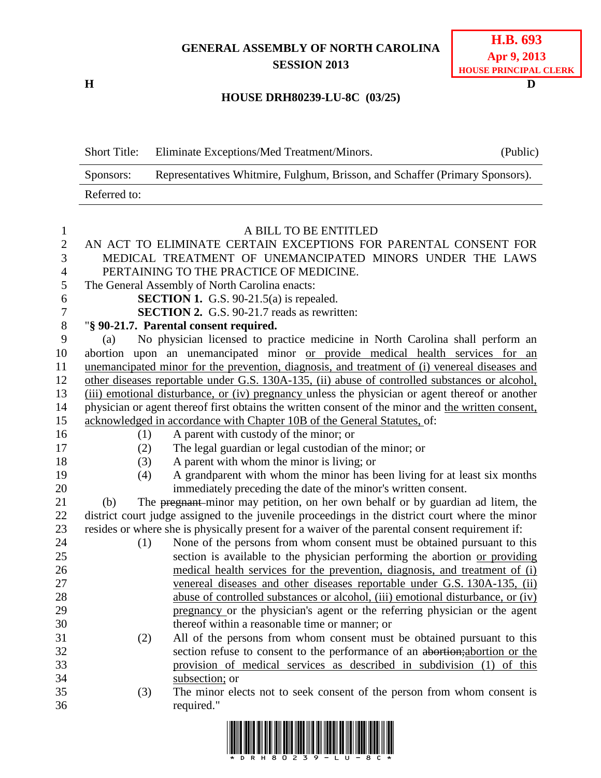## **GENERAL ASSEMBLY OF NORTH CAROLINA SESSION 2013**

**H D**

## **HOUSE DRH80239-LU-8C (03/25)**

| <b>Short Title:</b> | Eliminate Exceptions/Med Treatment/Minors.                                   | (Public) |
|---------------------|------------------------------------------------------------------------------|----------|
| Sponsors:           | Representatives Whitmire, Fulghum, Brisson, and Schaffer (Primary Sponsors). |          |
| Referred to:        |                                                                              |          |

| $\mathbf{1}$   |     |     | A BILL TO BE ENTITLED                                                                              |
|----------------|-----|-----|----------------------------------------------------------------------------------------------------|
| $\overline{2}$ |     |     | AN ACT TO ELIMINATE CERTAIN EXCEPTIONS FOR PARENTAL CONSENT FOR                                    |
| 3              |     |     | MEDICAL TREATMENT OF UNEMANCIPATED MINORS UNDER THE LAWS                                           |
| $\overline{4}$ |     |     | PERTAINING TO THE PRACTICE OF MEDICINE.                                                            |
| 5              |     |     | The General Assembly of North Carolina enacts:                                                     |
| 6              |     |     | <b>SECTION 1.</b> G.S. 90-21.5(a) is repealed.                                                     |
| 7              |     |     | <b>SECTION 2.</b> G.S. 90-21.7 reads as rewritten:                                                 |
| 8              |     |     | "§ 90-21.7. Parental consent required.                                                             |
| 9              | (a) |     | No physician licensed to practice medicine in North Carolina shall perform an                      |
| 10             |     |     | abortion upon an unemancipated minor or provide medical health services for an                     |
| 11             |     |     | unemancipated minor for the prevention, diagnosis, and treatment of (i) venereal diseases and      |
| 12             |     |     | other diseases reportable under G.S. 130A-135, (ii) abuse of controlled substances or alcohol,     |
| 13             |     |     | (iii) emotional disturbance, or (iv) pregnancy unless the physician or agent thereof or another    |
| 14             |     |     | physician or agent thereof first obtains the written consent of the minor and the written consent, |
| 15             |     |     | acknowledged in accordance with Chapter 10B of the General Statutes, of:                           |
| 16             |     | (1) | A parent with custody of the minor; or                                                             |
| 17             |     | (2) | The legal guardian or legal custodian of the minor; or                                             |
| 18             |     | (3) | A parent with whom the minor is living; or                                                         |
| 19             |     | (4) | A grandparent with whom the minor has been living for at least six months                          |
| 20             |     |     | immediately preceding the date of the minor's written consent.                                     |
| 21             | (b) |     | The pregnant-minor may petition, on her own behalf or by guardian ad litem, the                    |
| 22             |     |     | district court judge assigned to the juvenile proceedings in the district court where the minor    |
| 23             |     |     | resides or where she is physically present for a waiver of the parental consent requirement if:    |
| 24             |     | (1) | None of the persons from whom consent must be obtained pursuant to this                            |
| 25             |     |     | section is available to the physician performing the abortion or providing                         |
| 26             |     |     | medical health services for the prevention, diagnosis, and treatment of (i)                        |
| 27             |     |     | venereal diseases and other diseases reportable under G.S. 130A-135, (ii)                          |
| 28             |     |     | abuse of controlled substances or alcohol, (iii) emotional disturbance, or (iv)                    |
| 29             |     |     | pregnancy or the physician's agent or the referring physician or the agent                         |
| 30             |     |     | thereof within a reasonable time or manner; or                                                     |
| 31             |     | (2) | All of the persons from whom consent must be obtained pursuant to this                             |
| 32             |     |     | section refuse to consent to the performance of an abortion; abortion or the                       |
| 33             |     |     | provision of medical services as described in subdivision (1) of this                              |
| 34             |     |     | subsection; or                                                                                     |
| 35             |     | (3) | The minor elects not to seek consent of the person from whom consent is                            |
| 36             |     |     | required."                                                                                         |